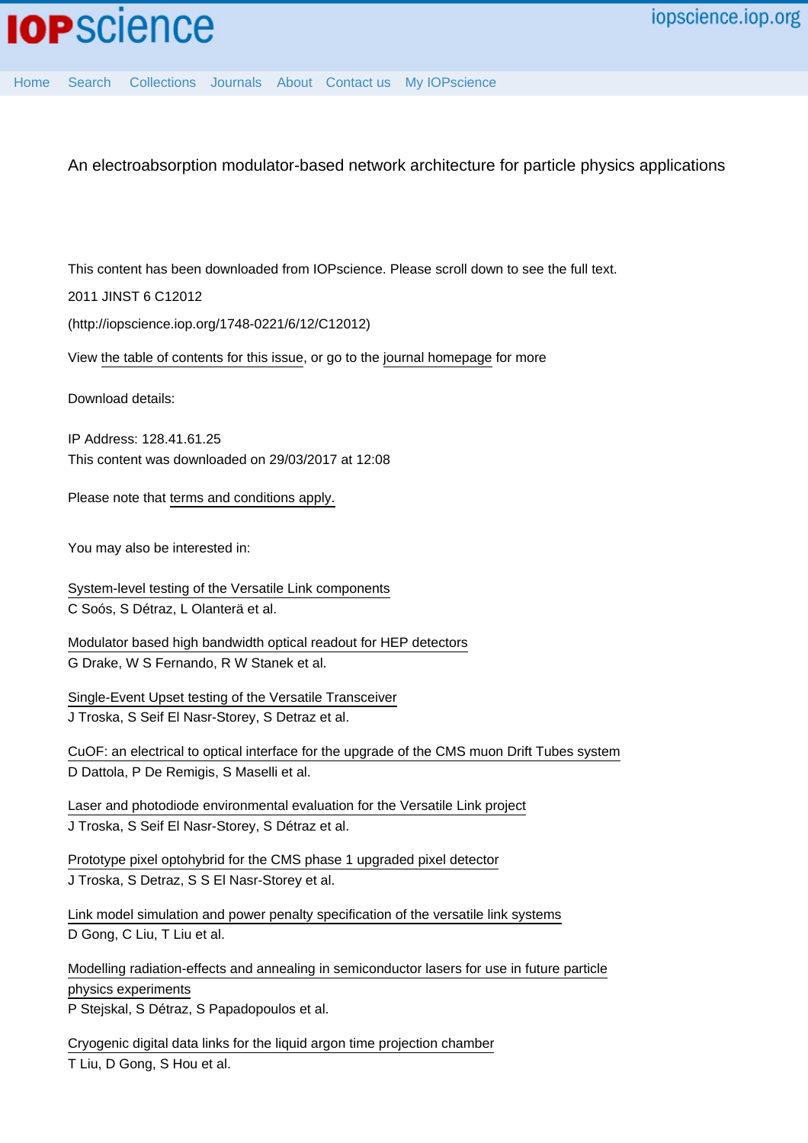[Home](http://iopscience.iop.org/) [Search](http://iopscience.iop.org/search) [Collections](http://iopscience.iop.org/collections) [Journals](http://iopscience.iop.org/journals) [About](http://iopscience.iop.org/page/aboutioppublishing) [Contact us](http://iopscience.iop.org/contact) [My IOPscience](http://iopscience.iop.org/myiopscience)

An electroabsorption modulator-based network architecture for particle physics applications

This content has been downloaded from IOPscience. Please scroll down to see the full text.

2011 JINST 6 C12012

(http://iopscience.iop.org/1748-0221/6/12/C12012)

View [the table of contents for this issue](http://iopscience.iop.org/1748-0221/6/12), or go to the [journal homepage](http://iopscience.iop.org/1748-0221) for more

Download details:

IP Address: 128.41.61.25 This content was downloaded on 29/03/2017 at 12:08

Please note that [terms and conditions apply.](http://iopscience.iop.org/page/terms)

You may also be interested in:

[System-level testing of the Versatile Link components](http://iopscience.iop.org/article/10.1088/1748-0221/8/12/C12044) C Soós, S Détraz, L Olanterä et al.

[Modulator based high bandwidth optical readout for HEP detectors](http://iopscience.iop.org/article/10.1088/1748-0221/8/02/C02023) G Drake, W S Fernando, R W Stanek et al.

[Single-Event Upset testing of the Versatile Transceiver](http://iopscience.iop.org/article/10.1088/1748-0221/6/11/C11026) J Troska, S Seif El Nasr-Storey, S Detraz et al.

[CuOF: an electrical to optical interface for the upgrade of the CMS muon Drift Tubes system](http://iopscience.iop.org/article/10.1088/1748-0221/8/02/C02029) D Dattola, P De Remigis, S Maselli et al.

[Laser and photodiode environmental evaluation for the Versatile Link project](http://iopscience.iop.org/article/10.1088/1748-0221/8/02/C02053) J Troska, S Seif El Nasr-Storey, S Détraz et al.

[Prototype pixel optohybrid for the CMS phase 1 upgraded pixel detector](http://iopscience.iop.org/article/10.1088/1748-0221/7/01/C01113) J Troska, S Detraz, S S El Nasr-Storey et al.

[Link model simulation and power penalty specification of the versatile link systems](http://iopscience.iop.org/article/10.1088/1748-0221/6/01/C01088) D Gong, C Liu, T Liu et al.

[Modelling radiation-effects and annealing in semiconductor lasers for use in future particle](http://iopscience.iop.org/article/10.1088/1748-0221/6/12/C12045) [physics experiments](http://iopscience.iop.org/article/10.1088/1748-0221/6/12/C12045) P Stejskal, S Détraz, S Papadopoulos et al.

[Cryogenic digital data links for the liquid argon time projection chamber](http://iopscience.iop.org/article/10.1088/1748-0221/7/01/C01091) T Liu, D Gong, S Hou et al.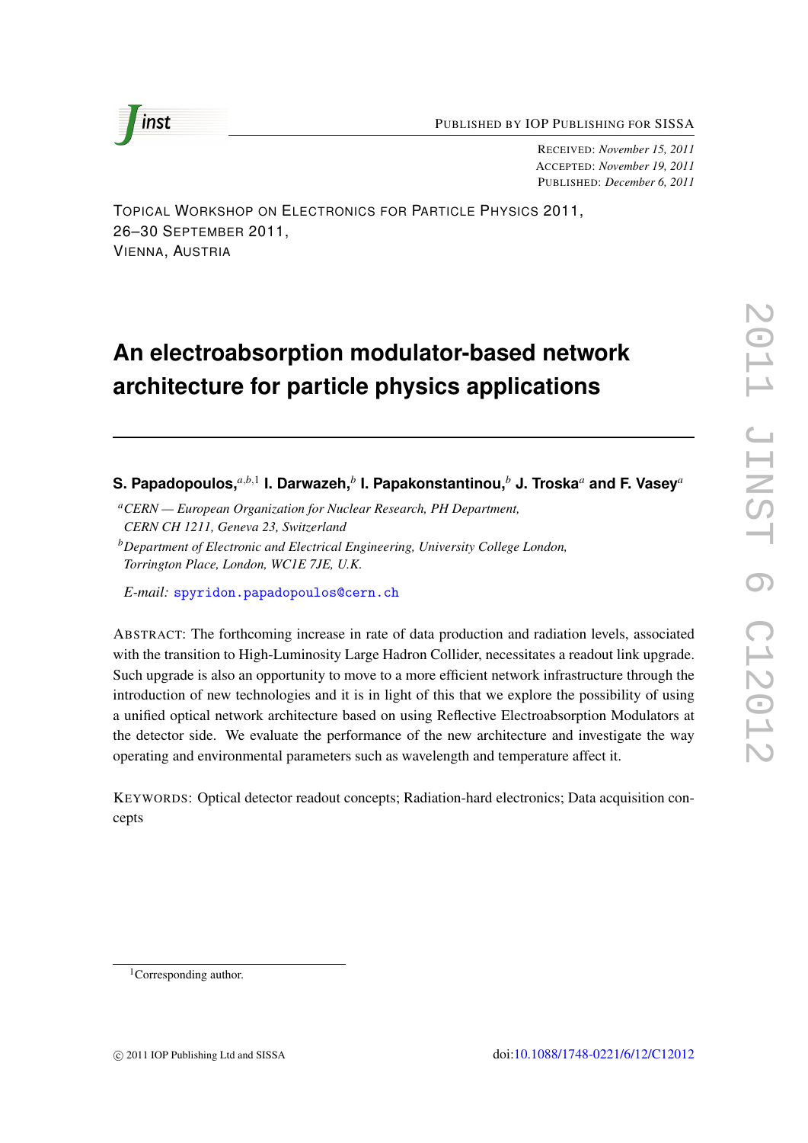

RECEIVED: *November 15, 2011* ACCEPTED: *November 19, 2011* PUBLISHED: *December 6, 2011*

TOPICAL WORKSHOP ON ELECTRONICS FOR PARTICLE PHYSICS 2011, 26–30 SEPTEMBER 2011, VIENNA, AUSTRIA

# **An electroabsorption modulator-based network architecture for particle physics applications**

**S. Papadopoulos,***a*,*b*,<sup>1</sup> **I. Darwazeh,***<sup>b</sup>* **I. Papakonstantinou,***<sup>b</sup>* **J. Troska***<sup>a</sup>* **and F. Vasey***<sup>a</sup>*

*<sup>a</sup>CERN — European Organization for Nuclear Research, PH Department, CERN CH 1211, Geneva 23, Switzerland*

*<sup>b</sup>Department of Electronic and Electrical Engineering, University College London, Torrington Place, London, WC1E 7JE, U.K.*

*E-mail:* [spyridon.papadopoulos@cern.ch](mailto:spyridon.papadopoulos@cern.ch)

ABSTRACT: The forthcoming increase in rate of data production and radiation levels, associated with the transition to High-Luminosity Large Hadron Collider, necessitates a readout link upgrade. Such upgrade is also an opportunity to move to a more efficient network infrastructure through the introduction of new technologies and it is in light of this that we explore the possibility of using a unified optical network architecture based on using Reflective Electroabsorption Modulators at the detector side. We evaluate the performance of the new architecture and investigate the way operating and environmental parameters such as wavelength and temperature affect it.

KEYWORDS: Optical detector readout concepts; Radiation-hard electronics; Data acquisition concepts

<sup>&</sup>lt;sup>1</sup>Corresponding author.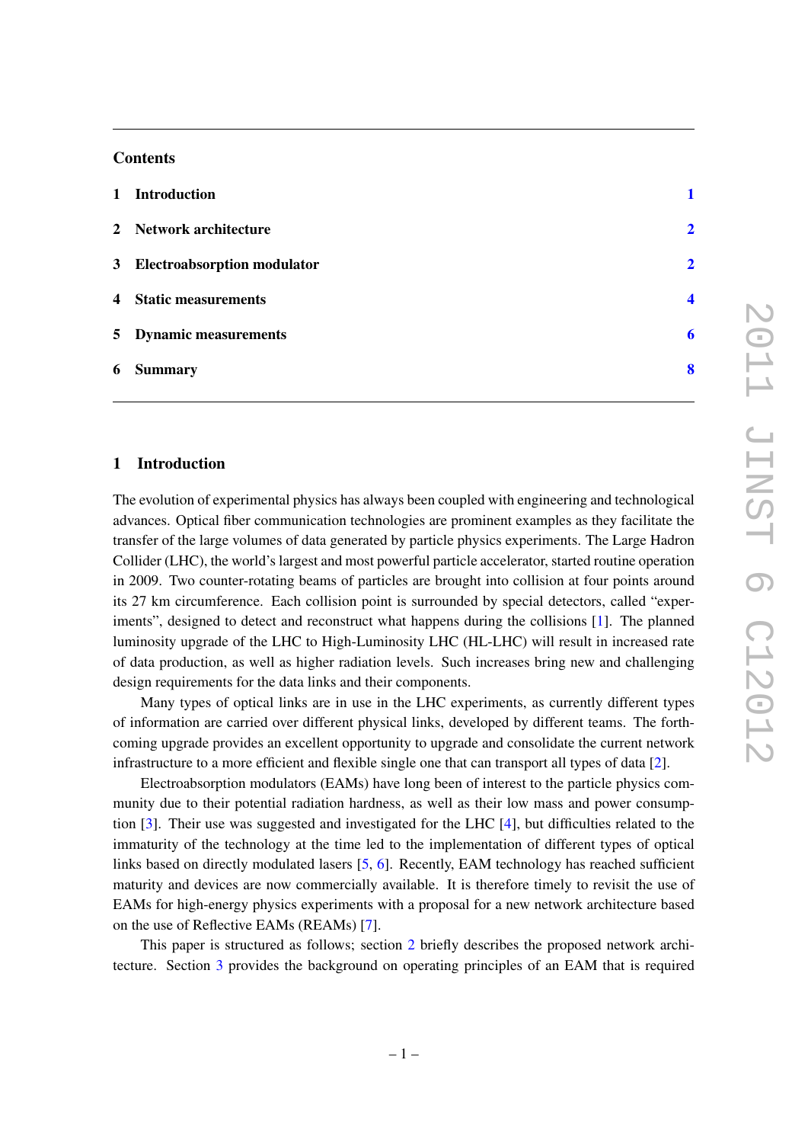# **Contents**

|   | 1 Introduction                |                |
|---|-------------------------------|----------------|
|   | 2 Network architecture        | $\overline{2}$ |
|   | 3 Electroabsorption modulator | $\overline{2}$ |
|   | 4 Static measurements         | Δ              |
|   | 5 Dynamic measurements        | 6              |
| 6 | <b>Summary</b>                | 8              |

### <span id="page-2-0"></span>1 Introduction

The evolution of experimental physics has always been coupled with engineering and technological advances. Optical fiber communication technologies are prominent examples as they facilitate the transfer of the large volumes of data generated by particle physics experiments. The Large Hadron Collider (LHC), the world's largest and most powerful particle accelerator, started routine operation in 2009. Two counter-rotating beams of particles are brought into collision at four points around its 27 km circumference. Each collision point is surrounded by special detectors, called "experiments", designed to detect and reconstruct what happens during the collisions [\[1\]](#page-9-1). The planned luminosity upgrade of the LHC to High-Luminosity LHC (HL-LHC) will result in increased rate of data production, as well as higher radiation levels. Such increases bring new and challenging design requirements for the data links and their components.

Many types of optical links are in use in the LHC experiments, as currently different types of information are carried over different physical links, developed by different teams. The forthcoming upgrade provides an excellent opportunity to upgrade and consolidate the current network infrastructure to a more efficient and flexible single one that can transport all types of data [\[2\]](#page-9-2).

Electroabsorption modulators (EAMs) have long been of interest to the particle physics community due to their potential radiation hardness, as well as their low mass and power consumption [\[3\]](#page-9-3). Their use was suggested and investigated for the LHC [\[4\]](#page-9-4), but difficulties related to the immaturity of the technology at the time led to the implementation of different types of optical links based on directly modulated lasers [\[5,](#page-9-5) [6\]](#page-9-6). Recently, EAM technology has reached sufficient maturity and devices are now commercially available. It is therefore timely to revisit the use of EAMs for high-energy physics experiments with a proposal for a new network architecture based on the use of Reflective EAMs (REAMs) [\[7\]](#page-9-7).

This paper is structured as follows; section [2](#page-3-0) briefly describes the proposed network architecture. Section [3](#page-3-1) provides the background on operating principles of an EAM that is required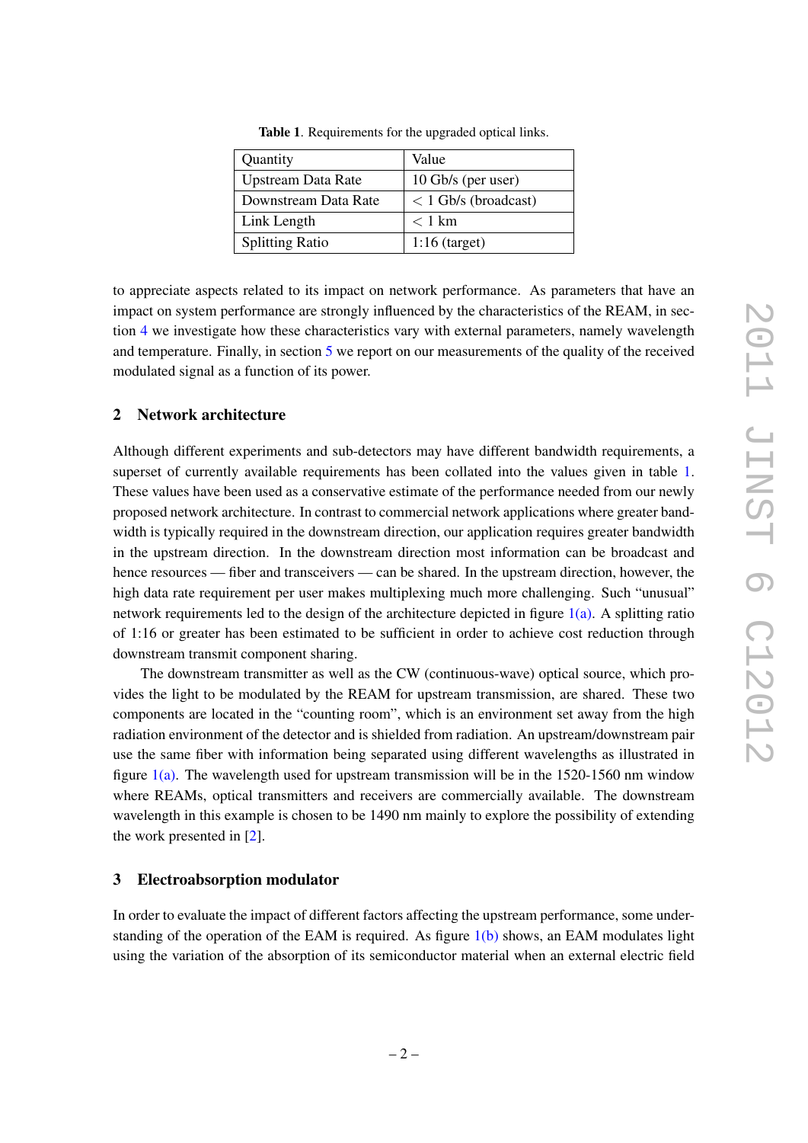| Quantity                  | Value                  |
|---------------------------|------------------------|
| <b>Upstream Data Rate</b> | 10 Gb/s (per user)     |
| Downstream Data Rate      | $< 1$ Gb/s (broadcast) |
| Link Length               | $< 1$ km               |
| <b>Splitting Ratio</b>    | $1:16$ (target)        |

<span id="page-3-2"></span>Table 1. Requirements for the upgraded optical links.

to appreciate aspects related to its impact on network performance. As parameters that have an impact on system performance are strongly influenced by the characteristics of the REAM, in section [4](#page-5-0) we investigate how these characteristics vary with external parameters, namely wavelength and temperature. Finally, in section [5](#page-7-0) we report on our measurements of the quality of the received modulated signal as a function of its power.

# <span id="page-3-0"></span>2 Network architecture

Although different experiments and sub-detectors may have different bandwidth requirements, a superset of currently available requirements has been collated into the values given in table [1.](#page-3-2) These values have been used as a conservative estimate of the performance needed from our newly proposed network architecture. In contrast to commercial network applications where greater bandwidth is typically required in the downstream direction, our application requires greater bandwidth in the upstream direction. In the downstream direction most information can be broadcast and hence resources — fiber and transceivers — can be shared. In the upstream direction, however, the high data rate requirement per user makes multiplexing much more challenging. Such "unusual" network requirements led to the design of the architecture depicted in figure  $1(a)$ . A splitting ratio of 1:16 or greater has been estimated to be sufficient in order to achieve cost reduction through downstream transmit component sharing.

The downstream transmitter as well as the CW (continuous-wave) optical source, which provides the light to be modulated by the REAM for upstream transmission, are shared. These two components are located in the "counting room", which is an environment set away from the high radiation environment of the detector and is shielded from radiation. An upstream/downstream pair use the same fiber with information being separated using different wavelengths as illustrated in figure  $1(a)$ . The wavelength used for upstream transmission will be in the 1520-1560 nm window where REAMs, optical transmitters and receivers are commercially available. The downstream wavelength in this example is chosen to be 1490 nm mainly to explore the possibility of extending the work presented in [\[2\]](#page-9-2).

#### <span id="page-3-1"></span>3 Electroabsorption modulator

In order to evaluate the impact of different factors affecting the upstream performance, some understanding of the operation of the EAM is required. As figure  $1(b)$  shows, an EAM modulates light using the variation of the absorption of its semiconductor material when an external electric field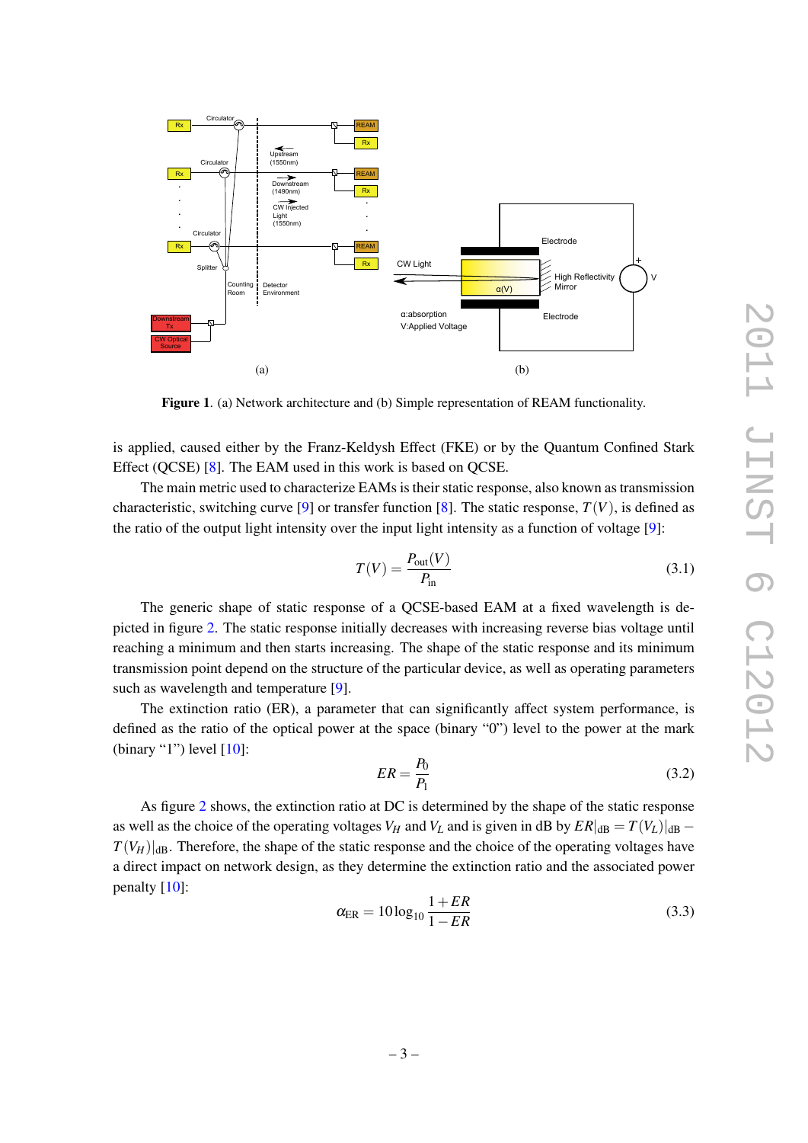<span id="page-4-0"></span>

Figure 1. (a) Network architecture and (b) Simple representation of REAM functionality.

is applied, caused either by the Franz-Keldysh Effect (FKE) or by the Quantum Confined Stark Effect (QCSE) [\[8\]](#page-9-8). The EAM used in this work is based on QCSE.

The main metric used to characterize EAMs is their static response, also known as transmission characteristic, switching curve [\[9\]](#page-9-9) or transfer function [\[8\]](#page-9-8). The static response,  $T(V)$ , is defined as the ratio of the output light intensity over the input light intensity as a function of voltage [\[9\]](#page-9-9):

<span id="page-4-1"></span>
$$
T(V) = \frac{P_{\text{out}}(V)}{P_{\text{in}}} \tag{3.1}
$$

The generic shape of static response of a QCSE-based EAM at a fixed wavelength is depicted in figure [2.](#page-5-1) The static response initially decreases with increasing reverse bias voltage until reaching a minimum and then starts increasing. The shape of the static response and its minimum transmission point depend on the structure of the particular device, as well as operating parameters such as wavelength and temperature [\[9\]](#page-9-9).

The extinction ratio (ER), a parameter that can significantly affect system performance, is defined as the ratio of the optical power at the space (binary "0") level to the power at the mark (binary "1") level  $[10]$ :

$$
ER = \frac{P_0}{P_1} \tag{3.2}
$$

As figure [2](#page-5-1) shows, the extinction ratio at DC is determined by the shape of the static response as well as the choice of the operating voltages  $V_H$  and  $V_L$  and is given in dB by  $ER|_{dB} = T(V_L)|_{dB}$  $T(V_H)|_{\text{dB}}$ . Therefore, the shape of the static response and the choice of the operating voltages have a direct impact on network design, as they determine the extinction ratio and the associated power penalty [\[10\]](#page-9-10):

$$
\alpha_{\rm ER} = 10 \log_{10} \frac{1 + ER}{1 - ER} \tag{3.3}
$$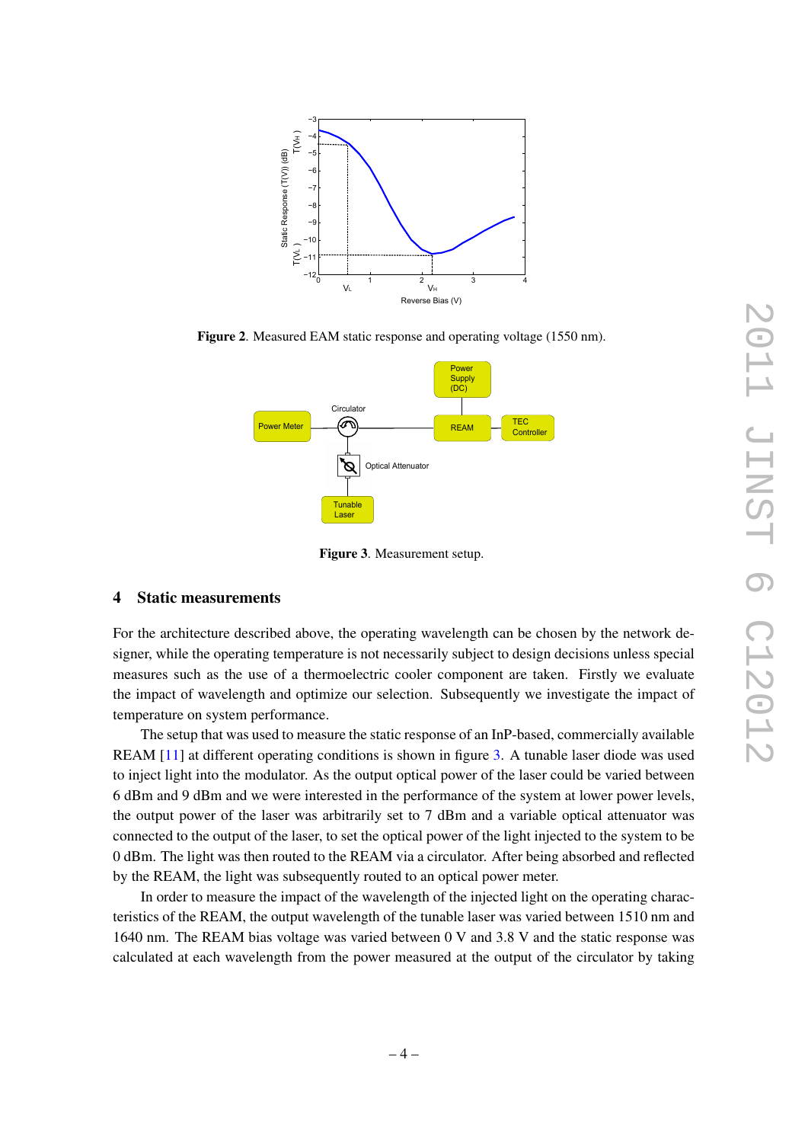

Figure 2. Measured EAM static response and operating voltage (1550 nm).

<span id="page-5-1"></span>

<span id="page-5-2"></span>Figure 3. Measurement setup.

#### <span id="page-5-0"></span>4 Static measurements

For the architecture described above, the operating wavelength can be chosen by the network designer, while the operating temperature is not necessarily subject to design decisions unless special measures such as the use of a thermoelectric cooler component are taken. Firstly we evaluate the impact of wavelength and optimize our selection. Subsequently we investigate the impact of temperature on system performance.

The setup that was used to measure the static response of an InP-based, commercially available REAM [\[11\]](#page-9-11) at different operating conditions is shown in figure [3.](#page-5-2) A tunable laser diode was used to inject light into the modulator. As the output optical power of the laser could be varied between 6 dBm and 9 dBm and we were interested in the performance of the system at lower power levels, the output power of the laser was arbitrarily set to 7 dBm and a variable optical attenuator was connected to the output of the laser, to set the optical power of the light injected to the system to be 0 dBm. The light was then routed to the REAM via a circulator. After being absorbed and reflected by the REAM, the light was subsequently routed to an optical power meter.

In order to measure the impact of the wavelength of the injected light on the operating characteristics of the REAM, the output wavelength of the tunable laser was varied between 1510 nm and 1640 nm. The REAM bias voltage was varied between 0 V and 3.8 V and the static response was calculated at each wavelength from the power measured at the output of the circulator by taking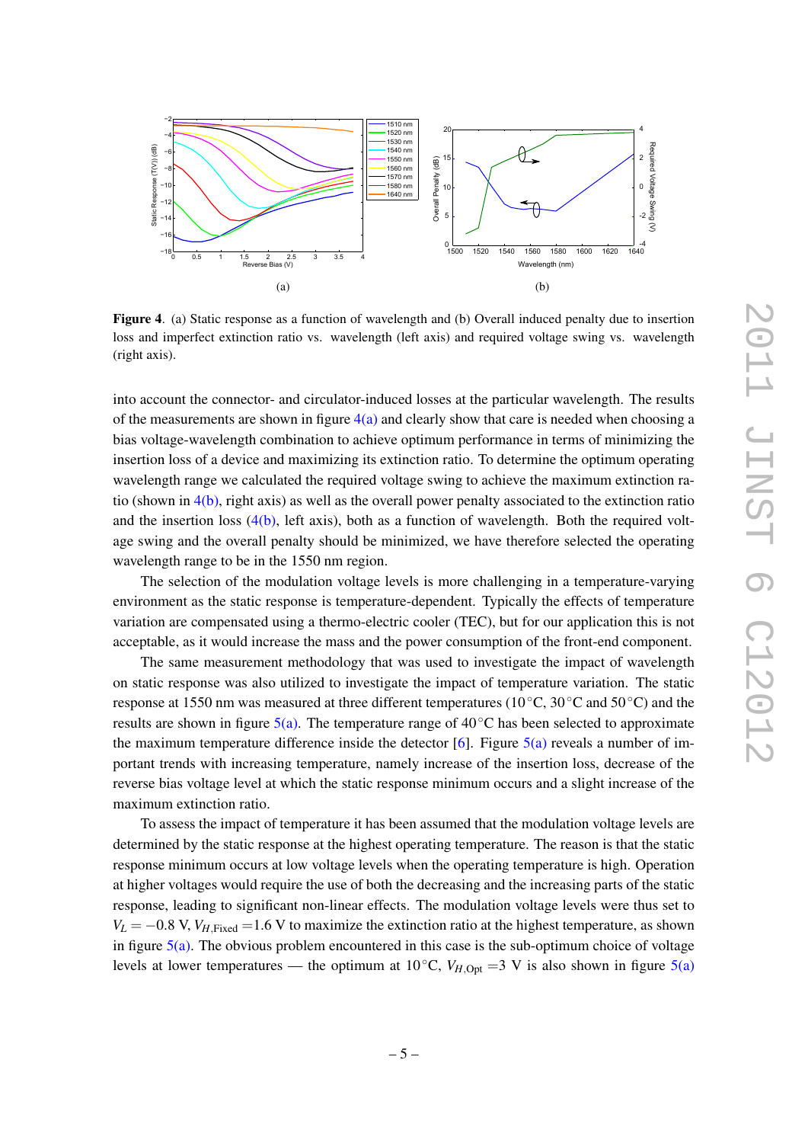<span id="page-6-0"></span>

<span id="page-6-1"></span>Figure 4. (a) Static response as a function of wavelength and (b) Overall induced penalty due to insertion loss and imperfect extinction ratio vs. wavelength (left axis) and required voltage swing vs. wavelength (right axis).

into account the connector- and circulator-induced losses at the particular wavelength. The results of the measurements are shown in figure  $4(a)$  and clearly show that care is needed when choosing a bias voltage-wavelength combination to achieve optimum performance in terms of minimizing the insertion loss of a device and maximizing its extinction ratio. To determine the optimum operating wavelength range we calculated the required voltage swing to achieve the maximum extinction ratio (shown in  $4(b)$ , right axis) as well as the overall power penalty associated to the extinction ratio and the insertion loss  $(4(b)$ , left axis), both as a function of wavelength. Both the required voltage swing and the overall penalty should be minimized, we have therefore selected the operating wavelength range to be in the 1550 nm region.

The selection of the modulation voltage levels is more challenging in a temperature-varying environment as the static response is temperature-dependent. Typically the effects of temperature variation are compensated using a thermo-electric cooler (TEC), but for our application this is not acceptable, as it would increase the mass and the power consumption of the front-end component.

The same measurement methodology that was used to investigate the impact of wavelength on static response was also utilized to investigate the impact of temperature variation. The static response at 1550 nm was measured at three different temperatures (10◦C, 30◦C and 50◦C) and the results are shown in figure  $5(a)$ . The temperature range of  $40^{\circ}$ C has been selected to approximate the maximum temperature difference inside the detector  $[6]$ . Figure  $5(a)$  reveals a number of important trends with increasing temperature, namely increase of the insertion loss, decrease of the reverse bias voltage level at which the static response minimum occurs and a slight increase of the maximum extinction ratio.

To assess the impact of temperature it has been assumed that the modulation voltage levels are determined by the static response at the highest operating temperature. The reason is that the static response minimum occurs at low voltage levels when the operating temperature is high. Operation at higher voltages would require the use of both the decreasing and the increasing parts of the static response, leading to significant non-linear effects. The modulation voltage levels were thus set to  $V_L = -0.8$  V,  $V_{H, \text{Fixed}} = 1.6$  V to maximize the extinction ratio at the highest temperature, as shown in figure  $5(a)$ . The obvious problem encountered in this case is the sub-optimum choice of voltage levels at lower temperatures — the optimum at 10<sup>°</sup>C,  $V_{H,Opt} = 3$  V is also shown in figure [5\(a\)](#page-7-1)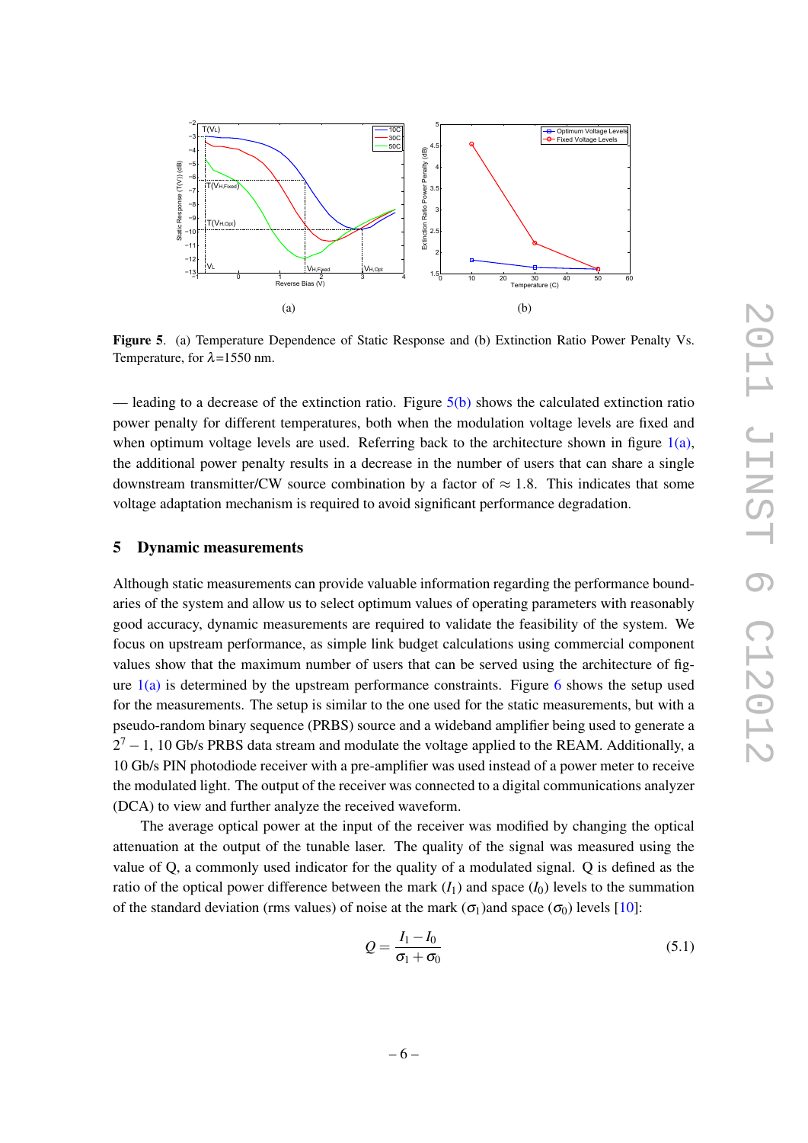<span id="page-7-2"></span><span id="page-7-1"></span>

Figure 5. (a) Temperature Dependence of Static Response and (b) Extinction Ratio Power Penalty Vs. Temperature, for  $\lambda$ =1550 nm.

— leading to a decrease of the extinction ratio. Figure  $5(b)$  shows the calculated extinction ratio power penalty for different temperatures, both when the modulation voltage levels are fixed and when optimum voltage levels are used. Referring back to the architecture shown in figure  $1(a)$ , the additional power penalty results in a decrease in the number of users that can share a single downstream transmitter/CW source combination by a factor of  $\approx 1.8$ . This indicates that some voltage adaptation mechanism is required to avoid significant performance degradation.

#### <span id="page-7-0"></span>5 Dynamic measurements

Although static measurements can provide valuable information regarding the performance boundaries of the system and allow us to select optimum values of operating parameters with reasonably good accuracy, dynamic measurements are required to validate the feasibility of the system. We focus on upstream performance, as simple link budget calculations using commercial component values show that the maximum number of users that can be served using the architecture of figure  $1(a)$  is determined by the upstream performance constraints. Figure [6](#page-8-0) shows the setup used for the measurements. The setup is similar to the one used for the static measurements, but with a pseudo-random binary sequence (PRBS) source and a wideband amplifier being used to generate a  $2<sup>7</sup> - 1$ , 10 Gb/s PRBS data stream and modulate the voltage applied to the REAM. Additionally, a 10 Gb/s PIN photodiode receiver with a pre-amplifier was used instead of a power meter to receive the modulated light. The output of the receiver was connected to a digital communications analyzer (DCA) to view and further analyze the received waveform.

The average optical power at the input of the receiver was modified by changing the optical attenuation at the output of the tunable laser. The quality of the signal was measured using the value of Q, a commonly used indicator for the quality of a modulated signal. Q is defined as the ratio of the optical power difference between the mark  $(I_1)$  and space  $(I_0)$  levels to the summation of the standard deviation (rms values) of noise at the mark  $(\sigma_1)$ and space  $(\sigma_0)$  levels [\[10\]](#page-9-10):

$$
Q = \frac{I_1 - I_0}{\sigma_1 + \sigma_0} \tag{5.1}
$$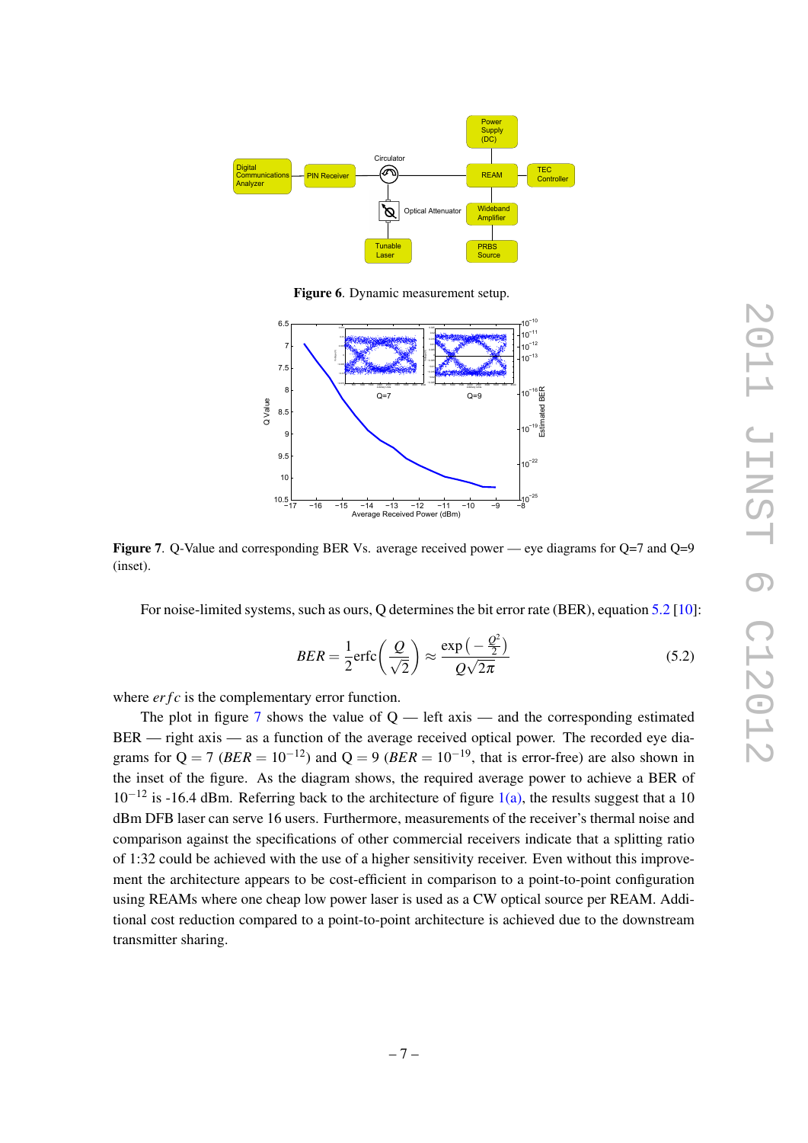

<span id="page-8-0"></span>Figure 6. Dynamic measurement setup.



<span id="page-8-2"></span>Figure 7. Q-Value and corresponding BER Vs. average received power — eye diagrams for Q=7 and Q=9 (inset).

For noise-limited systems, such as ours, Q determines the bit error rate (BER), equation [5.2](#page-8-1) [\[10\]](#page-9-10):

<span id="page-8-1"></span>
$$
BER = \frac{1}{2} \text{erfc}\left(\frac{Q}{\sqrt{2}}\right) \approx \frac{\exp\left(-\frac{Q^2}{2}\right)}{Q\sqrt{2\pi}} \tag{5.2}
$$

where *erfc* is the complementary error function.

The plot in figure [7](#page-8-2) shows the value of  $Q$  — left axis — and the corresponding estimated BER — right axis — as a function of the average received optical power. The recorded eye diagrams for  $Q = 7$  (*BER* = 10<sup>-12</sup>) and  $Q = 9$  (*BER* = 10<sup>-19</sup>, that is error-free) are also shown in the inset of the figure. As the diagram shows, the required average power to achieve a BER of  $10^{-12}$  is -16.4 dBm. Referring back to the architecture of figure  $1(a)$ , the results suggest that a 10 dBm DFB laser can serve 16 users. Furthermore, measurements of the receiver's thermal noise and comparison against the specifications of other commercial receivers indicate that a splitting ratio of 1:32 could be achieved with the use of a higher sensitivity receiver. Even without this improvement the architecture appears to be cost-efficient in comparison to a point-to-point configuration using REAMs where one cheap low power laser is used as a CW optical source per REAM. Additional cost reduction compared to a point-to-point architecture is achieved due to the downstream transmitter sharing.